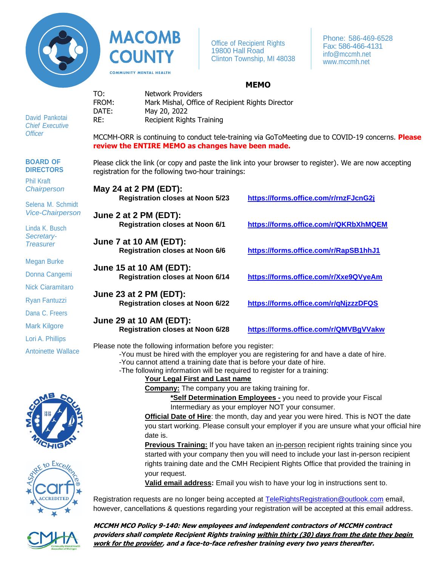

**MACOMB COUNTY COMMUNITY MENTAL HEALTH** 

Office of Recipient Rights 19800 Hall Road Clinton Township, MI 48038

Phone: 586-469-6528 Fax: 586-466-4131 [info@mccmh.net](mailto:info@mccmh.net) [www.mccmh.net](http://www.mccmh.net/)

## **MEMO**

David Pankotai *Chief Executive Officer*

**BOARD OF DIRECTORS**

Phil Kraft *Chairperson*

Selena M. Schmidt *Vice-Chairperson*

Linda K. Busch *Secretary-Treasurer*

Megan Burke

Donna Cangemi

Nick Ciaramitaro

Ryan Fantuzzi

Dana C. Freers

Mark Kilgore

Lori A. Phillips

Antoinette Wallace

registration for the following two-hour trainings: **May 24 at 2 PM (EDT): Registration closes at Noon 5/23 <https://forms.office.com/r/rnzFJcnG2j> June 2 at 2 PM (EDT): Registration closes at Noon 6/1 <https://forms.office.com/r/QKRbXhMQEM> June 7 at 10 AM (EDT): Registration closes at Noon 6/6 <https://forms.office.com/r/RapSB1hhJ1> June 15 at 10 AM (EDT): Registration closes at Noon 6/14 <https://forms.office.com/r/Xxe9QVyeAm> June 23 at 2 PM (EDT): Registration closes at Noon 6/22 <https://forms.office.com/r/qNjzzzDFQS> June 29 at 10 AM (EDT): Registration closes at Noon 6/28 <https://forms.office.com/r/QMVBgVVakw>**

Please note the following information before you register:

-You must be hired with the employer you are registering for and have a date of hire.

-You cannot attend a training date that is before your date of hire. -The following information will be required to register for a training:

**Your Legal First and Last name**

**Company:** The company you are taking training for.

**\*Self Determination Employees -** you need to provide your Fiscal Intermediary as your employer NOT your consumer.

**Official Date of Hire**: the month, day and year you were hired. This is NOT the date you start working. Please consult your employer if you are unsure what your official hire date is.

**Previous Training:** If you have taken an in-person recipient rights training since you started with your company then you will need to include your last in-person recipient rights training date and the CMH Recipient Rights Office that provided the training in your request.

**Valid email address:** Email you wish to have your log in instructions sent to.

Registration requests are no longer being accepted at **TeleRightsRegistration@outlook.com** email, however, cancellations & questions regarding your registration will be accepted at this email address.

**MCCMH MCO Policy 9-140: New employees and independent contractors of MCCMH contract providers shall complete Recipient Rights training within thirty (30) days from the date they begin work for the provider, and a face-to-face refresher training every two years thereafter.** 







TO: Network Providers FROM: Mark Mishal, Office of Recipient Rights Director DATE: May 20, 2022 RE: Recipient Rights Training

MCCMH-ORR is continuing to conduct tele-training via GoToMeeting due to COVID-19 concerns. **Please review the ENTIRE MEMO as changes have been made.**

Please click the link (or copy and paste the link into your browser to register). We are now accepting